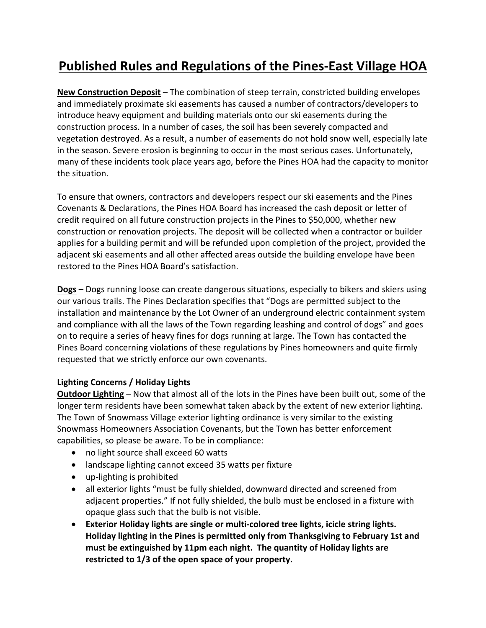## **Published Rules and Regulations of the Pines‐East Village HOA**

**New Construction Deposit** – The combination of steep terrain, constricted building envelopes and immediately proximate ski easements has caused a number of contractors/developers to introduce heavy equipment and building materials onto our ski easements during the construction process. In a number of cases, the soil has been severely compacted and vegetation destroyed. As a result, a number of easements do not hold snow well, especially late in the season. Severe erosion is beginning to occur in the most serious cases. Unfortunately, many of these incidents took place years ago, before the Pines HOA had the capacity to monitor the situation.

To ensure that owners, contractors and developers respect our ski easements and the Pines Covenants & Declarations, the Pines HOA Board has increased the cash deposit or letter of credit required on all future construction projects in the Pines to \$50,000, whether new construction or renovation projects. The deposit will be collected when a contractor or builder applies for a building permit and will be refunded upon completion of the project, provided the adjacent ski easements and all other affected areas outside the building envelope have been restored to the Pines HOA Board's satisfaction.

**Dogs** – Dogs running loose can create dangerous situations, especially to bikers and skiers using our various trails. The Pines Declaration specifies that "Dogs are permitted subject to the installation and maintenance by the Lot Owner of an underground electric containment system and compliance with all the laws of the Town regarding leashing and control of dogs" and goes on to require a series of heavy fines for dogs running at large. The Town has contacted the Pines Board concerning violations of these regulations by Pines homeowners and quite firmly requested that we strictly enforce our own covenants.

## **Lighting Concerns / Holiday Lights**

**Outdoor Lighting** – Now that almost all of the lots in the Pines have been built out, some of the longer term residents have been somewhat taken aback by the extent of new exterior lighting. The Town of Snowmass Village exterior lighting ordinance is very similar to the existing Snowmass Homeowners Association Covenants, but the Town has better enforcement capabilities, so please be aware. To be in compliance:

- no light source shall exceed 60 watts
- landscape lighting cannot exceed 35 watts per fixture
- up-lighting is prohibited
- all exterior lights "must be fully shielded, downward directed and screened from adjacent properties." If not fully shielded, the bulb must be enclosed in a fixture with opaque glass such that the bulb is not visible.
- **Exterior Holiday lights are single or multi‐colored tree lights, icicle string lights. Holiday lighting in the Pines is permitted only from Thanksgiving to February 1st and must be extinguished by 11pm each night. The quantity of Holiday lights are restricted to 1/3 of the open space of your property.**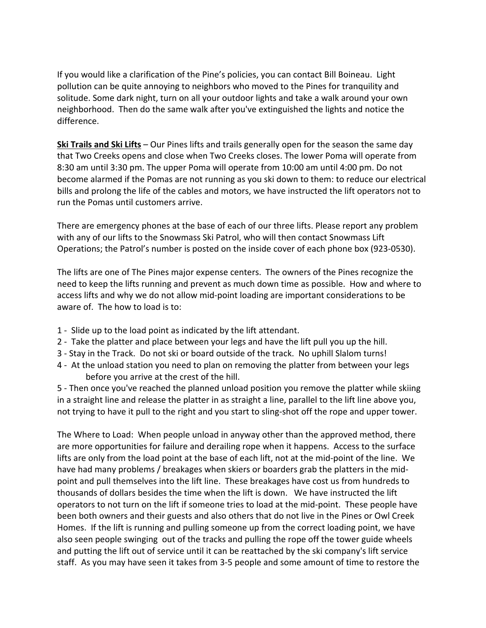If you would like a clarification of the Pine's policies, you can contact Bill Boineau. Light pollution can be quite annoying to neighbors who moved to the Pines for tranquility and solitude. Some dark night, turn on all your outdoor lights and take a walk around your own neighborhood. Then do the same walk after you've extinguished the lights and notice the difference.

**Ski Trails and Ski Lifts** – Our Pines lifts and trails generally open for the season the same day that Two Creeks opens and close when Two Creeks closes. The lower Poma will operate from 8:30 am until 3:30 pm. The upper Poma will operate from 10:00 am until 4:00 pm. Do not become alarmed if the Pomas are not running as you ski down to them: to reduce our electrical bills and prolong the life of the cables and motors, we have instructed the lift operators not to run the Pomas until customers arrive.

There are emergency phones at the base of each of our three lifts. Please report any problem with any of our lifts to the Snowmass Ski Patrol, who will then contact Snowmass Lift Operations; the Patrol's number is posted on the inside cover of each phone box (923‐0530).

The lifts are one of The Pines major expense centers. The owners of the Pines recognize the need to keep the lifts running and prevent as much down time as possible. How and where to access lifts and why we do not allow mid‐point loading are important considerations to be aware of. The how to load is to:

- 1 ‐ Slide up to the load point as indicated by the lift attendant.
- 2 ‐ Take the platter and place between your legs and have the lift pull you up the hill.
- 3 ‐ Stay in the Track. Do not ski or board outside of the track. No uphill Slalom turns!
- 4 ‐ At the unload station you need to plan on removing the platter from between your legs before you arrive at the crest of the hill.

5 - Then once you've reached the planned unload position you remove the platter while skiing in a straight line and release the platter in as straight a line, parallel to the lift line above you, not trying to have it pull to the right and you start to sling-shot off the rope and upper tower.

The Where to Load: When people unload in anyway other than the approved method, there are more opportunities for failure and derailing rope when it happens. Access to the surface lifts are only from the load point at the base of each lift, not at the mid‐point of the line. We have had many problems / breakages when skiers or boarders grab the platters in the midpoint and pull themselves into the lift line. These breakages have cost us from hundreds to thousands of dollars besides the time when the lift is down. We have instructed the lift operators to not turn on the lift if someone tries to load at the mid‐point. These people have been both owners and their guests and also others that do not live in the Pines or Owl Creek Homes. If the lift is running and pulling someone up from the correct loading point, we have also seen people swinging out of the tracks and pulling the rope off the tower guide wheels and putting the lift out of service until it can be reattached by the ski company's lift service staff. As you may have seen it takes from 3‐5 people and some amount of time to restore the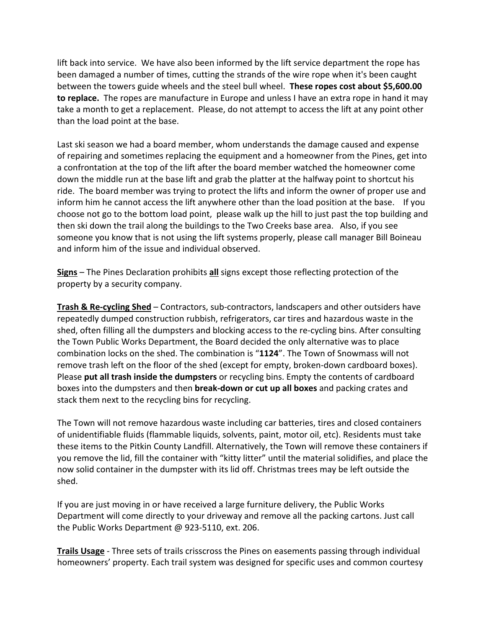lift back into service. We have also been informed by the lift service department the rope has been damaged a number of times, cutting the strands of the wire rope when it's been caught between the towers guide wheels and the steel bull wheel. **These ropes cost about \$5,600.00 to replace.** The ropes are manufacture in Europe and unless I have an extra rope in hand it may take a month to get a replacement. Please, do not attempt to access the lift at any point other than the load point at the base.

Last ski season we had a board member, whom understands the damage caused and expense of repairing and sometimes replacing the equipment and a homeowner from the Pines, get into a confrontation at the top of the lift after the board member watched the homeowner come down the middle run at the base lift and grab the platter at the halfway point to shortcut his ride. The board member was trying to protect the lifts and inform the owner of proper use and inform him he cannot access the lift anywhere other than the load position at the base. If you choose not go to the bottom load point, please walk up the hill to just past the top building and then ski down the trail along the buildings to the Two Creeks base area. Also, if you see someone you know that is not using the lift systems properly, please call manager Bill Boineau and inform him of the issue and individual observed.

**Signs** – The Pines Declaration prohibits **all** signs except those reflecting protection of the property by a security company.

**Trash & Re‐cycling Shed** – Contractors, sub‐contractors, landscapers and other outsiders have repeatedly dumped construction rubbish, refrigerators, car tires and hazardous waste in the shed, often filling all the dumpsters and blocking access to the re‐cycling bins. After consulting the Town Public Works Department, the Board decided the only alternative was to place combination locks on the shed. The combination is "**1124**". The Town of Snowmass will not remove trash left on the floor of the shed (except for empty, broken-down cardboard boxes). Please **put all trash inside the dumpsters** or recycling bins. Empty the contents of cardboard boxes into the dumpsters and then **break‐down or cut up all boxes** and packing crates and stack them next to the recycling bins for recycling.

The Town will not remove hazardous waste including car batteries, tires and closed containers of unidentifiable fluids (flammable liquids, solvents, paint, motor oil, etc). Residents must take these items to the Pitkin County Landfill. Alternatively, the Town will remove these containers if you remove the lid, fill the container with "kitty litter" until the material solidifies, and place the now solid container in the dumpster with its lid off. Christmas trees may be left outside the shed.

If you are just moving in or have received a large furniture delivery, the Public Works Department will come directly to your driveway and remove all the packing cartons. Just call the Public Works Department @ 923‐5110, ext. 206.

**Trails Usage** ‐ Three sets of trails crisscross the Pines on easements passing through individual homeowners' property. Each trail system was designed for specific uses and common courtesy